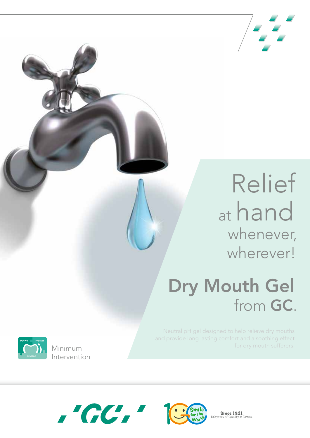

# Relief at hand whenever, wherever!

# Dry Mouth Gel from GC.

Neutral pH gel designed to help relieve dry mouths and provide long lasting comfort and a soothing effect for dry mouth sufferers. Minimum

**Since 1921** 

Quality in Dental



Intervention



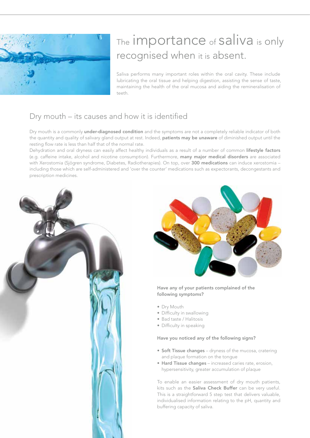

## The **importance** of **saliva** is only recognised when it is absent.

Saliva performs many important roles within the oral cavity. These include lubricating the oral tissue and helping digestion, assisting the sense of taste, maintaining the health of the oral mucosa and aiding the remineralisation of teeth.

### Dry mouth – its causes and how it is identified

Dry mouth is a commonly under-diagnosed condition and the symptoms are not a completely reliable indicator of both the quantity and quality of salivary gland output at rest. Indeed, patients may be unaware of diminished output until the resting flow rate is less than half that of the normal rate.

Dehydration and oral dryness can easily affect healthy individuals as a result of a number of common lifestyle factors (e.g. caffeine intake, alcohol and nicotine consumption). Furthermore, many major medical disorders are associated with Xerostomia (Sjögren syndrome, Diabetes, Radiotherapies). On top, over 300 medications can induce xerostomia including those which are self-administered and 'over the counter' medications such as expectorants, decongestants and prescription medicines.





#### Have any of your patients complained of the following symptoms?

- Dry Mouth
- Difficulty in swallowing
- Bad taste / Halitosis
- Difficulty in speaking

#### Have you noticed any of the following signs?

- Soft Tissue changes dryness of the mucosa, cratering and plaque formation on the tongue
- Hard Tissue changes increased caries rate, erosion, hypersensitivity, greater accumulation of plaque

To enable an easier assessment of dry mouth patients, kits such as the Saliva Check Buffer can be very useful. This is a straightforward 5 step test that delivers valuable, individualised information relating to the pH, quantity and buffering capacity of saliva.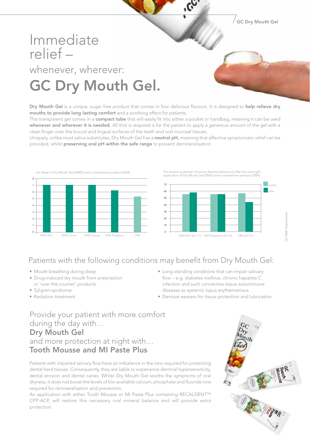$\sqrt{$  GC Drv Mouth Gel

## Immediate relief – whenever, wherever: GC Dry Mouth Gel.

Dry Mouth Gel is a unique, sugar free product that comes in four delicious flavours. It is designed to help relieve dry mouths to provide long lasting comfort and a soothing effect for patients.

This transparent gel comes in a compact tube that will easily fit into either a pocket or handbag, meaning it can be used whenever and wherever it is needed. All that is required is for the patient to apply a generous amount of the gel with a clean finger over the buccal and lingual surfaces of the teeth and oral mucosal tissues.

Uniquely, unlike most saliva substitutes, Dry Mouth Gel has a neutral pH, meaning that effective symptomatic relief can be provided, whilst preserving oral pH within the safe range to prevent demineralisation.



The erosion potential of bovine dentine before and after the overnight application of Dry Mouth Gel (DMG) and a competitive product (OBA)



### Patients with the following conditions may benefit from Dry Mouth Gel:

- Mouth breathing during sleep
- Drug-induced dry mouth from prescription or 'over the counter' products
- Sjögren syndrome
- Radiation treatment
- Long standing conditions that can impair salivary flow – e.g. diabetes mellitus, chronic hepatitis C infection and such connective tissue autoimmune diseases as systemic lupus erythematosus.
- Denture wearers for tissue protection and lubrication

Provide your patient with more comfort during the day with… Dry Mouth Gel and more protection at night with… Tooth Mousse and MI Paste Plus

Patients with impaired salivary flow have an imbalance in the ions required for protecting dental hard tissues. Consequently, they are liable to experience dentinal hypersensitivity, dental erosion and dental caries. Whilst Dry Mouth Gel sooths the symptoms of oral dryness, it does not boost the levels of bio-available calcium, phosphate and fluoride ions required for remineralisation and prevention.

An application with either Tooth Mousse or MI Paste Plus containing RECALDENT™ CPP-ACP, will restore this necessary oral mineral balance and will provide extra protection.



GC R&D Department

**GC R&D Department**